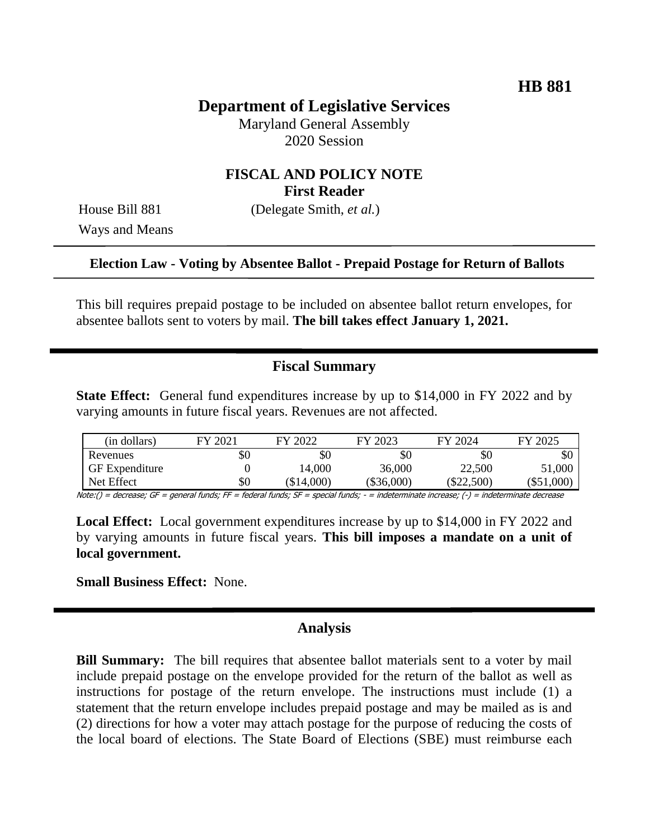# **Department of Legislative Services**

Maryland General Assembly 2020 Session

## **FISCAL AND POLICY NOTE First Reader**

Ways and Means

House Bill 881 (Delegate Smith, *et al.*)

### **Election Law - Voting by Absentee Ballot - Prepaid Postage for Return of Ballots**

This bill requires prepaid postage to be included on absentee ballot return envelopes, for absentee ballots sent to voters by mail. **The bill takes effect January 1, 2021.**

## **Fiscal Summary**

**State Effect:** General fund expenditures increase by up to \$14,000 in FY 2022 and by varying amounts in future fiscal years. Revenues are not affected.

| (in dollars)          | FY 2021 | FY 2022    | FY 2023      | FY 2024      | FY 2025      |
|-----------------------|---------|------------|--------------|--------------|--------------|
| Revenues              | \$0     | $\$0$      | \$0          | \$0          | \$0          |
| <b>GF</b> Expenditure |         | 14,000     | 36,000       | 22,500       | 51,000       |
| Net Effect            | \$0     | $\$14,000$ | $(\$36,000)$ | $(\$22,500)$ | $(\$51,000)$ |

Note:() = decrease; GF = general funds; FF = federal funds; SF = special funds; - = indeterminate increase; (-) = indeterminate decrease

**Local Effect:** Local government expenditures increase by up to \$14,000 in FY 2022 and by varying amounts in future fiscal years. **This bill imposes a mandate on a unit of local government.**

**Small Business Effect:** None.

### **Analysis**

**Bill Summary:** The bill requires that absentee ballot materials sent to a voter by mail include prepaid postage on the envelope provided for the return of the ballot as well as instructions for postage of the return envelope. The instructions must include (1) a statement that the return envelope includes prepaid postage and may be mailed as is and (2) directions for how a voter may attach postage for the purpose of reducing the costs of the local board of elections. The State Board of Elections (SBE) must reimburse each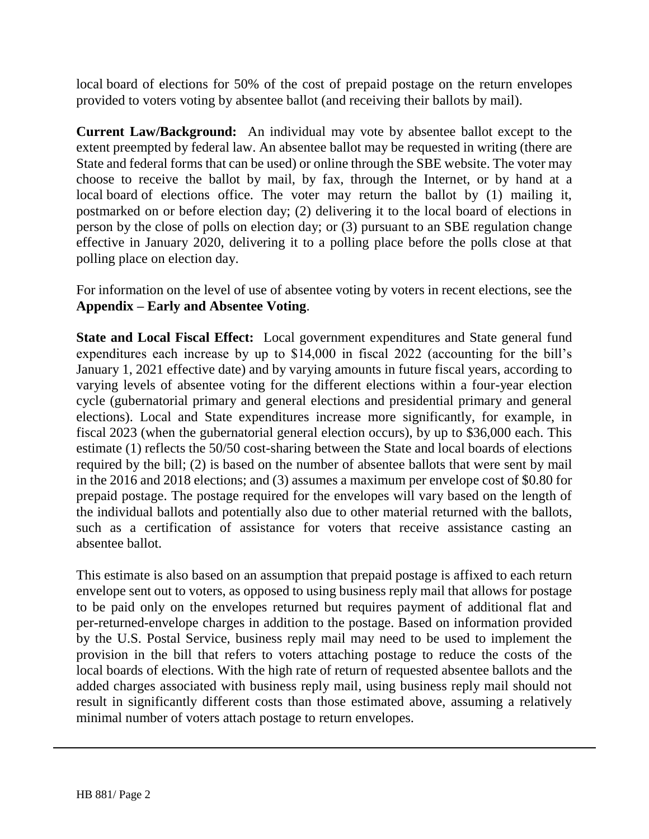local board of elections for 50% of the cost of prepaid postage on the return envelopes provided to voters voting by absentee ballot (and receiving their ballots by mail).

**Current Law/Background:** An individual may vote by absentee ballot except to the extent preempted by federal law. An absentee ballot may be requested in writing (there are State and federal forms that can be used) or online through the SBE website. The voter may choose to receive the ballot by mail, by fax, through the Internet, or by hand at a local board of elections office. The voter may return the ballot by (1) mailing it, postmarked on or before election day; (2) delivering it to the local board of elections in person by the close of polls on election day; or (3) pursuant to an SBE regulation change effective in January 2020, delivering it to a polling place before the polls close at that polling place on election day.

For information on the level of use of absentee voting by voters in recent elections, see the **Appendix – Early and Absentee Voting**.

**State and Local Fiscal Effect:** Local government expenditures and State general fund expenditures each increase by up to \$14,000 in fiscal 2022 (accounting for the bill's January 1, 2021 effective date) and by varying amounts in future fiscal years, according to varying levels of absentee voting for the different elections within a four-year election cycle (gubernatorial primary and general elections and presidential primary and general elections). Local and State expenditures increase more significantly, for example, in fiscal 2023 (when the gubernatorial general election occurs), by up to \$36,000 each. This estimate (1) reflects the 50/50 cost-sharing between the State and local boards of elections required by the bill; (2) is based on the number of absentee ballots that were sent by mail in the 2016 and 2018 elections; and (3) assumes a maximum per envelope cost of \$0.80 for prepaid postage. The postage required for the envelopes will vary based on the length of the individual ballots and potentially also due to other material returned with the ballots, such as a certification of assistance for voters that receive assistance casting an absentee ballot.

This estimate is also based on an assumption that prepaid postage is affixed to each return envelope sent out to voters, as opposed to using business reply mail that allows for postage to be paid only on the envelopes returned but requires payment of additional flat and per-returned-envelope charges in addition to the postage. Based on information provided by the U.S. Postal Service, business reply mail may need to be used to implement the provision in the bill that refers to voters attaching postage to reduce the costs of the local boards of elections. With the high rate of return of requested absentee ballots and the added charges associated with business reply mail, using business reply mail should not result in significantly different costs than those estimated above, assuming a relatively minimal number of voters attach postage to return envelopes.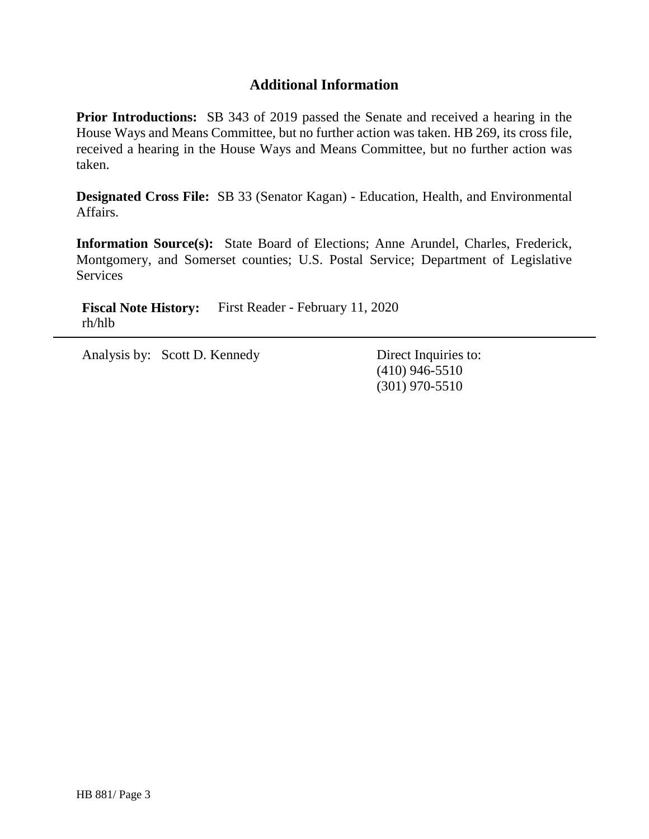# **Additional Information**

**Prior Introductions:** SB 343 of 2019 passed the Senate and received a hearing in the House Ways and Means Committee, but no further action was taken. HB 269, its cross file, received a hearing in the House Ways and Means Committee, but no further action was taken.

**Designated Cross File:** SB 33 (Senator Kagan) - Education, Health, and Environmental Affairs.

**Information Source(s):** State Board of Elections; Anne Arundel, Charles, Frederick, Montgomery, and Somerset counties; U.S. Postal Service; Department of Legislative **Services** 

**Fiscal Note History:** First Reader - February 11, 2020 rh/hlb

Analysis by: Scott D. Kennedy Direct Inquiries to:

(410) 946-5510 (301) 970-5510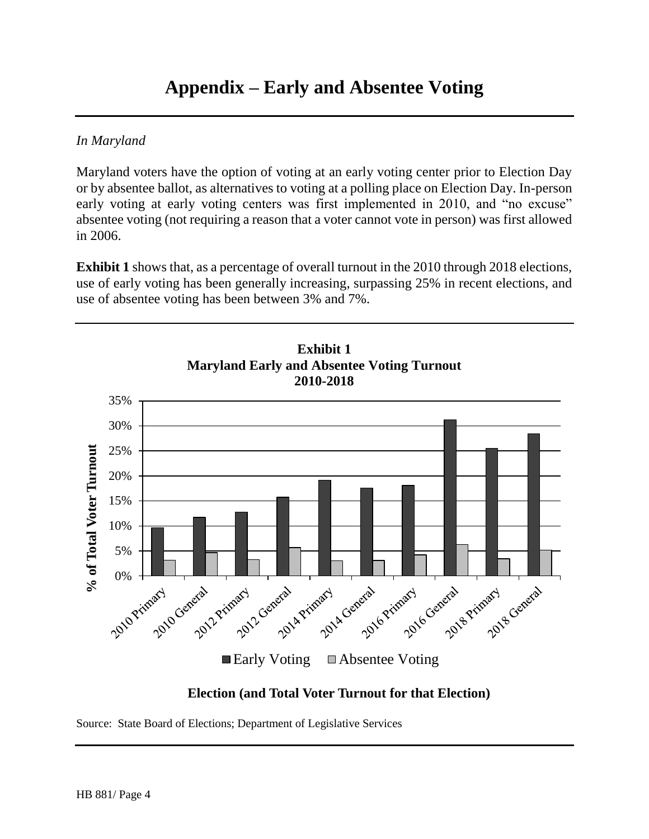## *In Maryland*

Maryland voters have the option of voting at an early voting center prior to Election Day or by absentee ballot, as alternatives to voting at a polling place on Election Day. In-person early voting at early voting centers was first implemented in 2010, and "no excuse" absentee voting (not requiring a reason that a voter cannot vote in person) was first allowed in 2006.

**Exhibit 1** shows that, as a percentage of overall turnout in the 2010 through 2018 elections, use of early voting has been generally increasing, surpassing 25% in recent elections, and use of absentee voting has been between 3% and 7%.



# **Election (and Total Voter Turnout for that Election)**

Source: State Board of Elections; Department of Legislative Services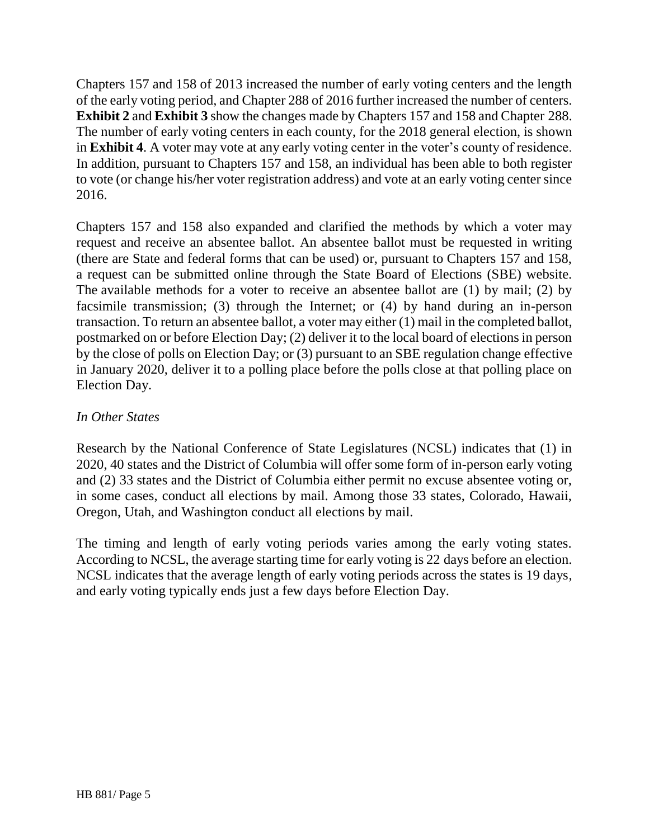Chapters 157 and 158 of 2013 increased the number of early voting centers and the length of the early voting period, and Chapter 288 of 2016 further increased the number of centers. **Exhibit 2** and **Exhibit 3** show the changes made by Chapters 157 and 158 and Chapter 288. The number of early voting centers in each county, for the 2018 general election, is shown in **Exhibit 4**. A voter may vote at any early voting center in the voter's county of residence. In addition, pursuant to Chapters 157 and 158, an individual has been able to both register to vote (or change his/her voter registration address) and vote at an early voting center since 2016.

Chapters 157 and 158 also expanded and clarified the methods by which a voter may request and receive an absentee ballot. An absentee ballot must be requested in writing (there are State and federal forms that can be used) or, pursuant to Chapters 157 and 158, a request can be submitted online through the State Board of Elections (SBE) website. The available methods for a voter to receive an absentee ballot are (1) by mail; (2) by facsimile transmission; (3) through the Internet; or (4) by hand during an in-person transaction. To return an absentee ballot, a voter may either (1) mail in the completed ballot, postmarked on or before Election Day; (2) deliver it to the local board of elections in person by the close of polls on Election Day; or (3) pursuant to an SBE regulation change effective in January 2020, deliver it to a polling place before the polls close at that polling place on Election Day.

# *In Other States*

Research by the National Conference of State Legislatures (NCSL) indicates that (1) in 2020, 40 states and the District of Columbia will offer some form of in-person early voting and (2) 33 states and the District of Columbia either permit no excuse absentee voting or, in some cases, conduct all elections by mail. Among those 33 states, Colorado, Hawaii, Oregon, Utah, and Washington conduct all elections by mail.

The timing and length of early voting periods varies among the early voting states. According to NCSL, the average starting time for early voting is 22 days before an election. NCSL indicates that the average length of early voting periods across the states is 19 days, and early voting typically ends just a few days before Election Day.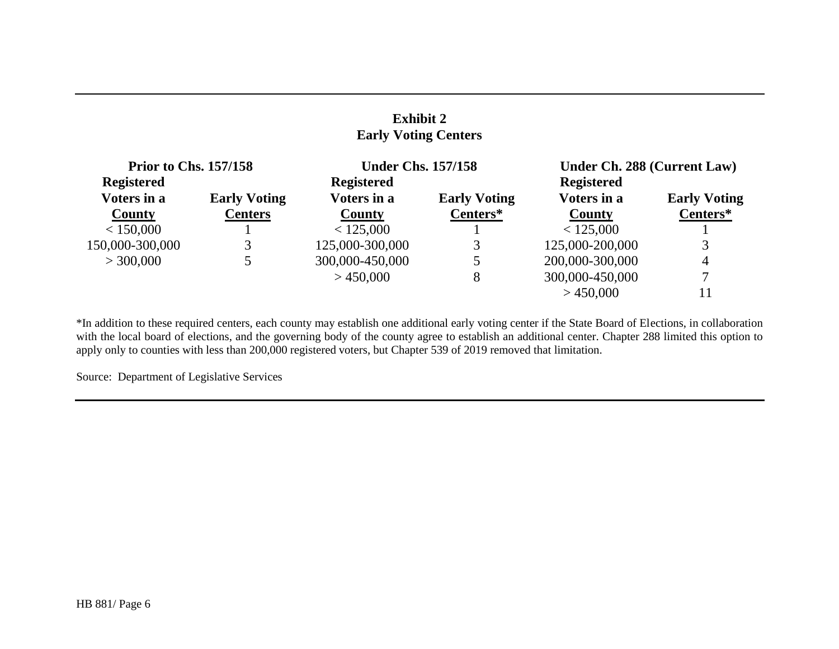## **Exhibit 2 Early Voting Centers**

| <b>Prior to Chs. 157/158</b> |                     | <b>Under Chs. 157/158</b> |                     | Under Ch. 288 (Current Law) |                     |
|------------------------------|---------------------|---------------------------|---------------------|-----------------------------|---------------------|
| <b>Registered</b>            |                     | <b>Registered</b>         |                     | <b>Registered</b>           |                     |
| Voters in a                  | <b>Early Voting</b> | Voters in a               | <b>Early Voting</b> | Voters in a                 | <b>Early Voting</b> |
| <b>County</b>                | <b>Centers</b>      | <b>County</b>             | Centers*            | County                      | Centers*            |
| < 150,000                    |                     | < 125,000                 |                     | < 125,000                   |                     |
| 150,000-300,000              | 3                   | 125,000-300,000           | 3                   | 125,000-200,000             |                     |
| > 300,000                    |                     | 300,000-450,000           |                     | 200,000-300,000             | $\overline{4}$      |
|                              |                     | >450,000                  | 8                   | 300,000-450,000             | 7                   |
|                              |                     |                           |                     | >450,000                    | 11                  |

\*In addition to these required centers, each county may establish one additional early voting center if the State Board of Elections, in collaboration with the local board of elections, and the governing body of the county agree to establish an additional center. Chapter 288 limited this option to apply only to counties with less than 200,000 registered voters, but Chapter 539 of 2019 removed that limitation.

Source: Department of Legislative Services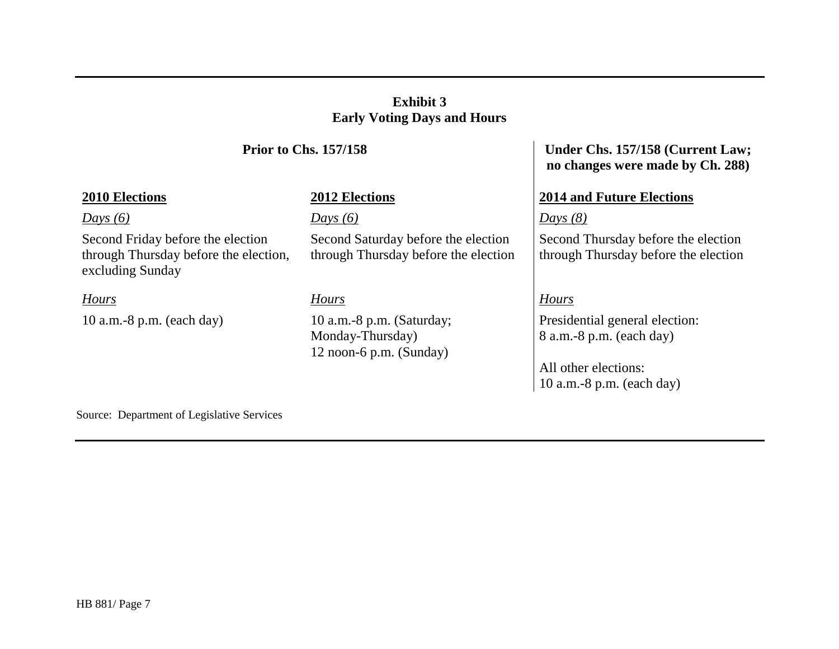# **Exhibit 3 Early Voting Days and Hours**

### *Days (6) Days (6) Days (8)*

Second Friday before the election through Thursday before the election, excluding Sunday

10 a.m.-8 p.m. (each day) 10 a.m.-8 p.m. (Saturday;

Second Saturday before the election through Thursday before the election

Monday-Thursday) 12 noon-6 p.m. (Sunday)

## **Prior to Chs. 157/158 Under Chs. 157/158 (Current Law; no changes were made by Ch. 288)**

## **2010 Elections 2012 Elections 2014 and Future Elections**

Second Thursday before the election through Thursday before the election

# *Hours Hours Hours*

Presidential general election: 8 a.m.-8 p.m. (each day)

All other elections: 10 a.m.-8 p.m. (each day)

Source: Department of Legislative Services